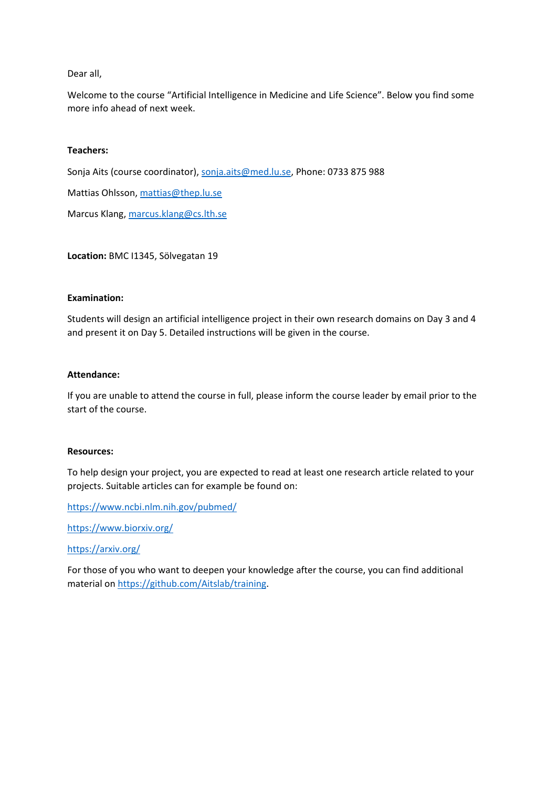#### Dear all,

Welcome to the course "Artificial Intelligence in Medicine and Life Science". Below you find some more info ahead of next week.

### **Teachers:**

Sonja Aits (course coordinator), sonja.aits@med.lu.se, Phone: 0733 875 988 Mattias Ohlsson, mattias@thep.lu.se Marcus Klang, marcus.klang@cs.lth.se

**Location:** BMC I1345, Sölvegatan 19

#### **Examination:**

Students will design an artificial intelligence project in their own research domains on Day 3 and 4 and present it on Day 5. Detailed instructions will be given in the course.

#### **Attendance:**

If you are unable to attend the course in full, please inform the course leader by email prior to the start of the course.

#### **Resources:**

To help design your project, you are expected to read at least one research article related to your projects. Suitable articles can for example be found on:

https://www.ncbi.nlm.nih.gov/pubmed/

https://www.biorxiv.org/

https://arxiv.org/

For those of you who want to deepen your knowledge after the course, you can find additional material on https://github.com/Aitslab/training.